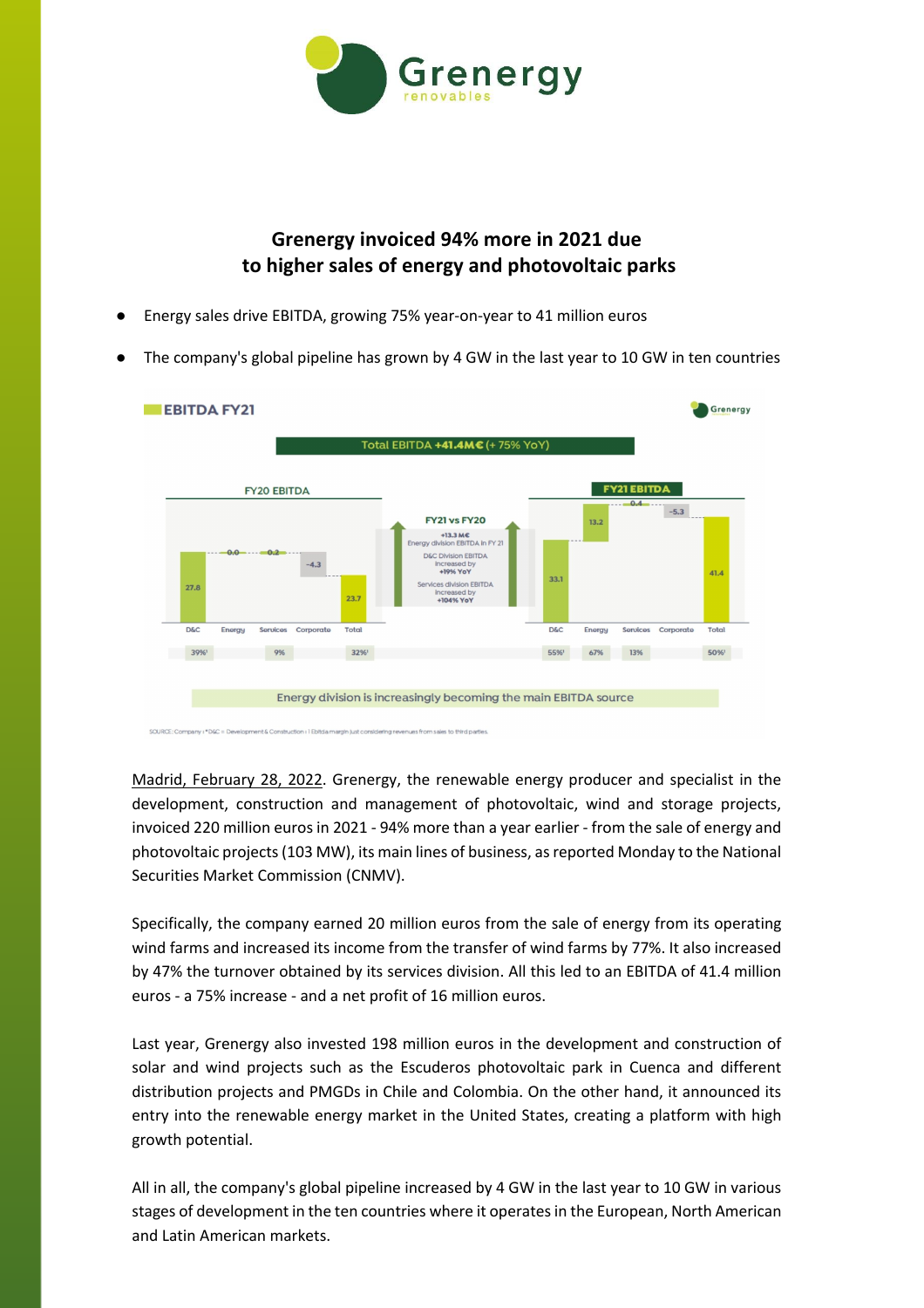

## **Grenergy invoiced 94% more in 2021 due to higher sales of energy and photovoltaic parks**

- Energy sales drive EBITDA, growing 75% year-on-year to 41 million euros
- The company's global pipeline has grown by 4 GW in the last year to 10 GW in ten countries



Madrid, February 28, 2022. Grenergy, the renewable energy producer and specialist in the development, construction and management of photovoltaic, wind and storage projects, invoiced 220 million euros in 2021 - 94% more than a year earlier - from the sale of energy and photovoltaic projects (103 MW), its main lines of business, as reported Monday to the National Securities Market Commission (CNMV).

Specifically, the company earned 20 million euros from the sale of energy from its operating wind farms and increased its income from the transfer of wind farms by 77%. It also increased by 47% the turnover obtained by its services division. All this led to an EBITDA of 41.4 million euros - a 75% increase - and a net profit of 16 million euros.

Last year, Grenergy also invested 198 million euros in the development and construction of solar and wind projects such as the Escuderos photovoltaic park in Cuenca and different distribution projects and PMGDs in Chile and Colombia. On the other hand, it announced its entry into the renewable energy market in the United States, creating a platform with high growth potential.

All in all, the company's global pipeline increased by 4 GW in the last year to 10 GW in various stages of development in the ten countries where it operates in the European, North American and Latin American markets.